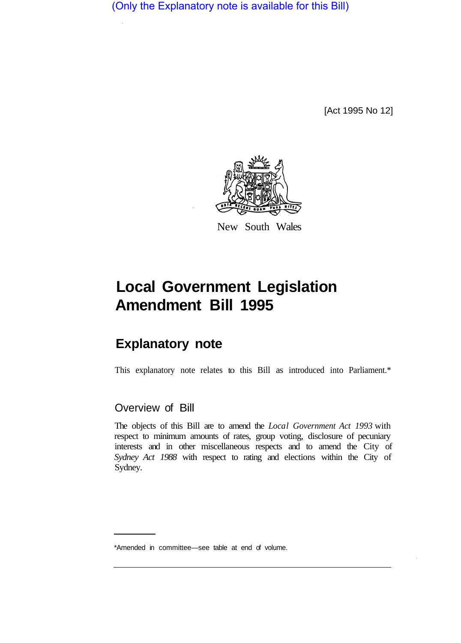(Only the Explanatory note is available for this Bill)

[Act 1995 No 12]



New South Wales

# **Local Government Legislation Amendment Bill 1995**

# **Explanatory note**

This explanatory note relates to this Bill as introduced into Parliament.\*

# Overview of Bill

The objects of this Bill are to amend the *Local Government Act 1993* with respect to minimum amounts of rates, group voting, disclosure of pecuniary interests and in other miscellaneous respects and to amend the City of *Sydney Act 1988* with respect to rating and elections within the City of Sydney.

<sup>\*</sup>Amended in committee—see table at end of volume.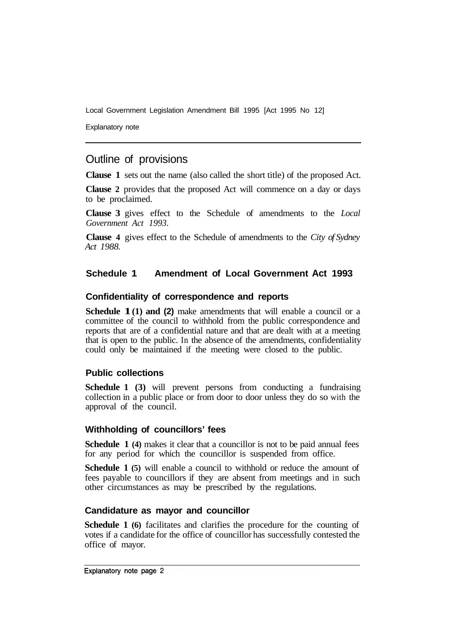Explanatory note

# Outline of provisions

**Clause 1** sets out the name (also called the short title) of the proposed Act.

**Clause 2** provides that the proposed Act will commence on a day or days to be proclaimed.

**Clause 3** gives effect to the Schedule of amendments to the *Local Government Act 1993.* 

**Clause 4** gives effect to the Schedule of amendments to the *City of Sydney Act 1988.* 

# **Schedule 1 Amendment of Local Government Act 1993**

#### **Confidentiality of correspondence and reports**

**Schedule 1(1) and (2)** make amendments that will enable a council or a committee of the council to withhold from the public correspondence and reports that are of a confidential nature and that are dealt with at a meeting that is open to the public. In the absence of the amendments, confidentiality could only be maintained if the meeting were closed to the public.

# **Public collections**

**Schedule 1 (3)** will prevent persons from conducting a fundraising collection in a public place or from door to door unless they do so with the approval of the council.

#### **Withholding of councillors' fees**

**Schedule 1 (4)** makes it clear that a councillor is not to be paid annual fees for any period for which the councillor is suspended from office.

**Schedule 1 (5)** will enable a council to withhold or reduce the amount of fees payable to councillors if they are absent from meetings and in such other circumstances as may be prescribed by the regulations.

# **Candidature as mayor and councillor**

**Schedule 1 (6)** facilitates and clarifies the procedure for the counting of votes if a candidate for the office of councillor has successfully contested the office of mayor.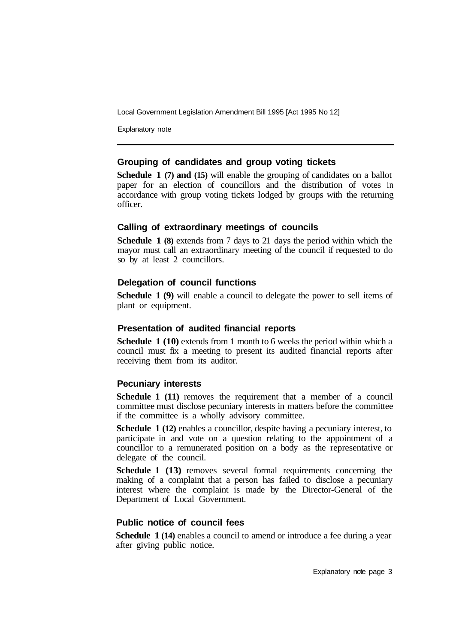Explanatory note

# **Grouping of candidates and group voting tickets**

**Schedule 1 (7) and (15)** will enable the grouping of candidates on a ballot paper for an election of councillors and the distribution of votes in accordance with group voting tickets lodged by groups with the returning officer.

# **Calling of extraordinary meetings of councils**

**Schedule 1 (8)** extends from 7 days to 21 days the period within which the mayor must call an extraordinary meeting of the council if requested to do so by at least 2 councillors.

# **Delegation of council functions**

**Schedule 1 (9)** will enable a council to delegate the power to sell items of plant or equipment.

# **Presentation of audited financial reports**

**Schedule 1 (10)** extends from 1 month to 6 weeks the period within which a council must fix a meeting to present its audited financial reports after receiving them from its auditor.

# **Pecuniary interests**

**Schedule 1 (11)** removes the requirement that a member of a council committee must disclose pecuniary interests in matters before the committee if the committee is a wholly advisory committee.

**Schedule 1 (12)** enables a councillor, despite having a pecuniary interest, to participate in and vote on a question relating to the appointment of a councillor to a remunerated position on a body as the representative or delegate of the council.

**Schedule 1 (13)** removes several formal requirements concerning the making of a complaint that a person has failed to disclose a pecuniary interest where the complaint is made by the Director-General of the Department of Local Government.

# **Public notice of council fees**

**Schedule 1 (14)** enables a council to amend or introduce a fee during a year after giving public notice.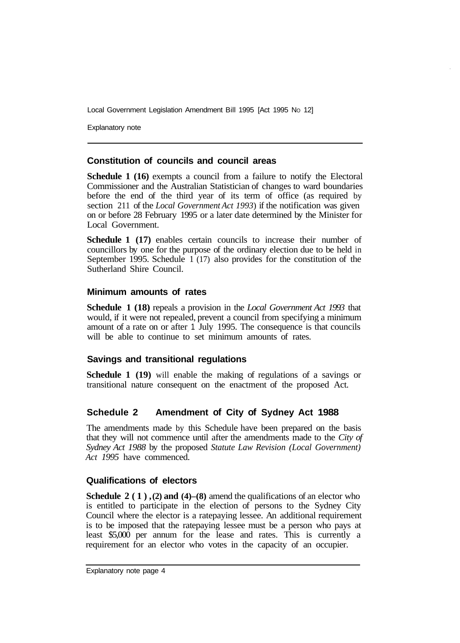Explanatory note

# **Constitution of councils and council areas**

**Schedule 1 (16)** exempts a council from a failure to notify the Electoral Commissioner and the Australian Statistician of changes to ward boundaries before the end of the third year of its term of office (as required by section 211 of the *Local Government Act 1993*) if the notification was given on or before 28 February 1995 or a later date determined by the Minister for Local Government.

**Schedule 1 (17)** enables certain councils to increase their number of councillors by one for the purpose of the ordinary election due to be held in September 1995. Schedule 1 (17) also provides for the constitution of the Sutherland Shire Council.

# **Minimum amounts of rates**

**Schedule 1 (18)** repeals a provision in the *Local Government Act 1993* that would, if it were not repealed, prevent a council from specifying a minimum amount of a rate on or after 1 July 1995. The consequence is that councils will be able to continue to set minimum amounts of rates.

# **Savings and transitional regulations**

**Schedule 1 (19)** will enable the making of regulations of a savings or transitional nature consequent on the enactment of the proposed Act.

# **Schedule 2 Amendment of City of Sydney Act 1988**

The amendments made by this Schedule have been prepared on the basis that they will not commence until after the amendments made to the *City of Sydney Act 1988* by the proposed *Statute Law Revision (Local Government) Act 1995* have commenced.

# **Qualifications of electors**

**Schedule 2 (1), (2) and (4)–(8)** amend the qualifications of an elector who is entitled to participate in the election of persons to the Sydney City Council where the elector is a ratepaying lessee. An additional requirement is to be imposed that the ratepaying lessee must be a person who pays at least \$5,000 per annum for the lease and rates. This is currently a requirement for an elector who votes in the capacity of an occupier.